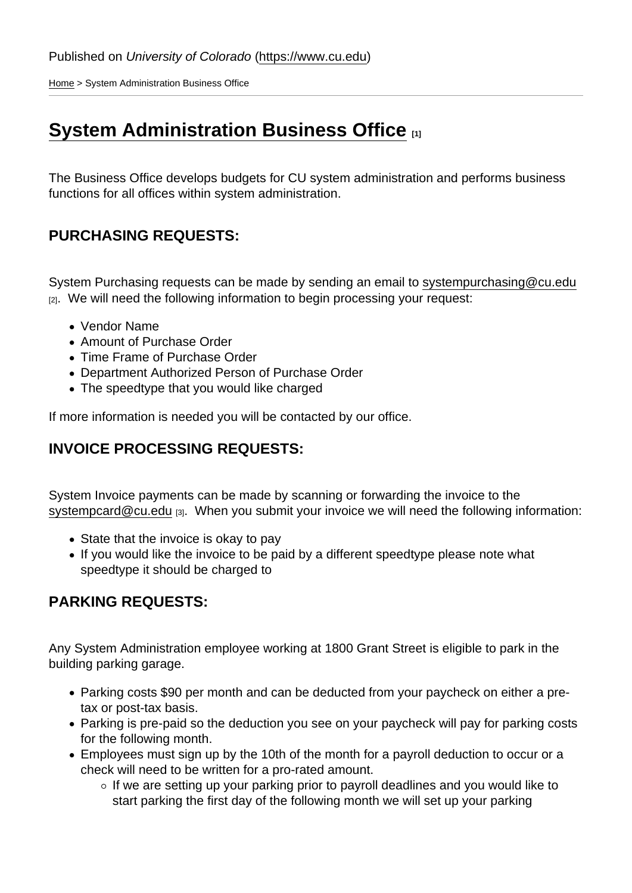[Home](https://www.cu.edu/) > System Administration Business Office

## [System Administration Business Office](https://www.cu.edu/budget/system-administration-business-office) **[1]**

The Business Office develops budgets for CU system administration and performs business functions for all offices within system administration.

## PURCHASING REQUESTS:

System Purchasing requests can be made by sending an email to [systempurchasing@cu.edu](mailto:systempurchasing@cu.edu) [2]. We will need the following information to begin processing your request:

- Vendor Name
- Amount of Purchase Order
- Time Frame of Purchase Order
- Department Authorized Person of Purchase Order
- The speedtype that you would like charged

If more information is needed you will be contacted by our office.

## INVOICE PROCESSING REQUESTS:

System Invoice payments can be made by scanning or forwarding the invoice to the [systempcard@cu.edu](mailto:systempcard@cu.edu) [3]. When you submit your invoice we will need the following information:

- State that the invoice is okay to pay
- If you would like the invoice to be paid by a different speedtype please note what speedtype it should be charged to

## PARKING REQUESTS:

Any System Administration employee working at 1800 Grant Street is eligible to park in the building parking garage.

- Parking costs \$90 per month and can be deducted from your paycheck on either a pretax or post-tax basis.
- Parking is pre-paid so the deduction you see on your paycheck will pay for parking costs for the following month.
- Employees must sign up by the 10th of the month for a payroll deduction to occur or a check will need to be written for a pro-rated amount.
	- $\circ$  If we are setting up your parking prior to payroll deadlines and you would like to start parking the first day of the following month we will set up your parking